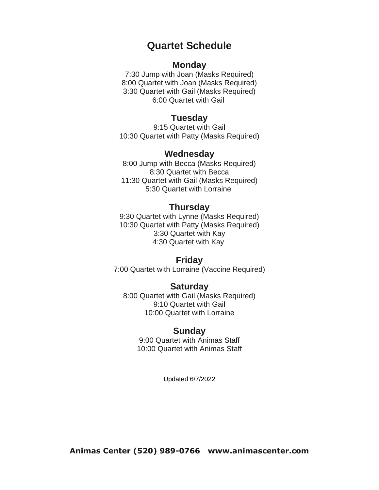# **Quartet Schedule**

#### **Monday**

7:30 Jump with Joan (Masks Required) 8:00 Quartet with Joan (Masks Required) 3:30 Quartet with Gail (Masks Required) 6:00 Quartet with Gail

## **Tuesday**

9:15 Quartet with Gail 10:30 Quartet with Patty (Masks Required)

### **Wednesday**

8:00 Jump with Becca (Masks Required) 8:30 Quartet with Becca 11:30 Quartet with Gail (Masks Required) 5:30 Quartet with Lorraine

#### **Thursday**

9:30 Quartet with Lynne (Masks Required) 10:30 Quartet with Patty (Masks Required) 3:30 Quartet with Kay 4:30 Quartet with Kay

#### **Friday**

7:00 Quartet with Lorraine (Vaccine Required)

#### **Saturday**

8:00 Quartet with Gail (Masks Required) 9:10 Quartet with Gail 10:00 Quartet with Lorraine

#### **Sunday**

9:00 Quartet with Animas Staff 10:00 Quartet with Animas Staff

Updated 6/7/2022

**Animas Center (520) 989-0766 www.animascenter.com**